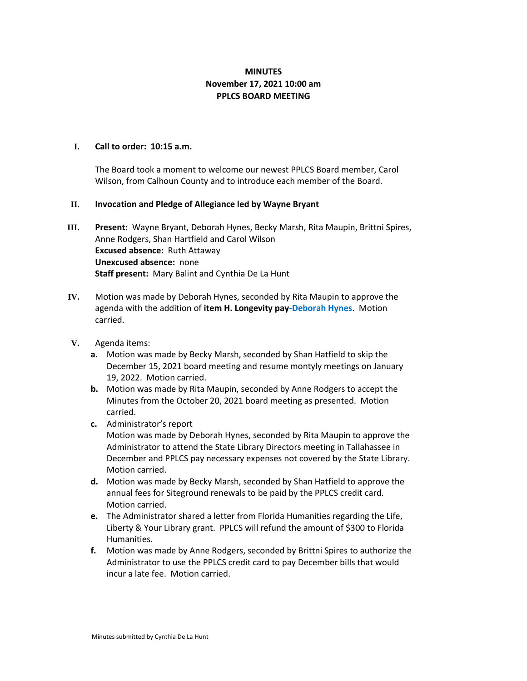## **MINUTES November 17, 2021 10:00 am PPLCS BOARD MEETING**

## **I. Call to order: 10:15 a.m.**

The Board took a moment to welcome our newest PPLCS Board member, Carol Wilson, from Calhoun County and to introduce each member of the Board.

## **II. Invocation and Pledge of Allegiance led by Wayne Bryant**

- **III. Present:** Wayne Bryant, Deborah Hynes, Becky Marsh, Rita Maupin, Brittni Spires, Anne Rodgers, Shan Hartfield and Carol Wilson **Excused absence:** Ruth Attaway **Unexcused absence:** none **Staff present:** Mary Balint and Cynthia De La Hunt
- **IV.** Motion was made by Deborah Hynes, seconded by Rita Maupin to approve the agenda with the addition of **item H. Longevity pay-Deborah Hynes**. Motion carried.
- **V.** Agenda items:
	- **a.** Motion was made by Becky Marsh, seconded by Shan Hatfield to skip the December 15, 2021 board meeting and resume montyly meetings on January 19, 2022. Motion carried.
	- **b.** Motion was made by Rita Maupin, seconded by Anne Rodgers to accept the Minutes from the October 20, 2021 board meeting as presented. Motion carried.
	- **c.** Administrator's report

Motion was made by Deborah Hynes, seconded by Rita Maupin to approve the Administrator to attend the State Library Directors meeting in Tallahassee in December and PPLCS pay necessary expenses not covered by the State Library. Motion carried.

- **d.** Motion was made by Becky Marsh, seconded by Shan Hatfield to approve the annual fees for Siteground renewals to be paid by the PPLCS credit card. Motion carried.
- **e.** The Administrator shared a letter from Florida Humanities regarding the Life, Liberty & Your Library grant. PPLCS will refund the amount of \$300 to Florida Humanities.
- **f.** Motion was made by Anne Rodgers, seconded by Brittni Spires to authorize the Administrator to use the PPLCS credit card to pay December bills that would incur a late fee. Motion carried.